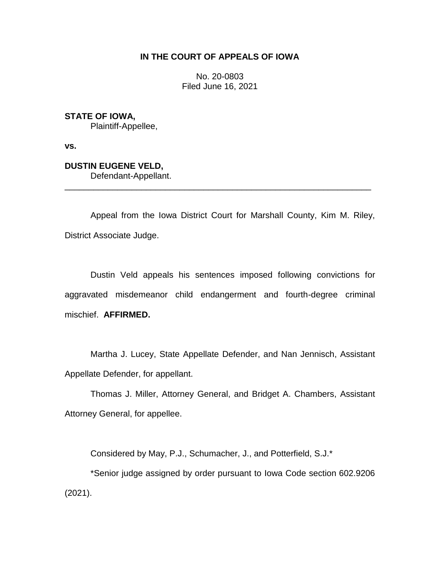## **IN THE COURT OF APPEALS OF IOWA**

No. 20-0803 Filed June 16, 2021

**STATE OF IOWA,** Plaintiff-Appellee,

**vs.**

**DUSTIN EUGENE VELD,** Defendant-Appellant.

Appeal from the Iowa District Court for Marshall County, Kim M. Riley, District Associate Judge.

\_\_\_\_\_\_\_\_\_\_\_\_\_\_\_\_\_\_\_\_\_\_\_\_\_\_\_\_\_\_\_\_\_\_\_\_\_\_\_\_\_\_\_\_\_\_\_\_\_\_\_\_\_\_\_\_\_\_\_\_\_\_\_\_

Dustin Veld appeals his sentences imposed following convictions for aggravated misdemeanor child endangerment and fourth-degree criminal mischief. **AFFIRMED.**

Martha J. Lucey, State Appellate Defender, and Nan Jennisch, Assistant Appellate Defender, for appellant.

Thomas J. Miller, Attorney General, and Bridget A. Chambers, Assistant Attorney General, for appellee.

Considered by May, P.J., Schumacher, J., and Potterfield, S.J.\*

\*Senior judge assigned by order pursuant to Iowa Code section 602.9206 (2021).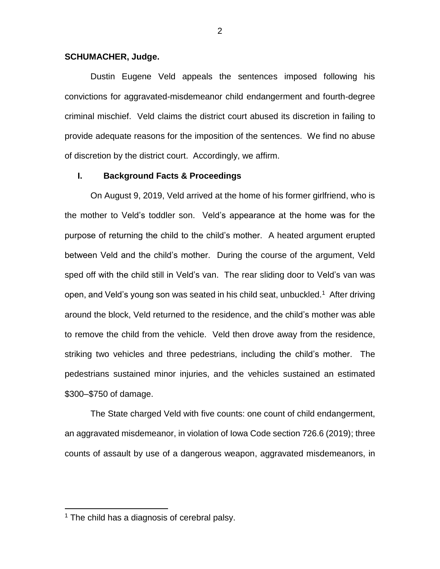#### **SCHUMACHER, Judge.**

Dustin Eugene Veld appeals the sentences imposed following his convictions for aggravated-misdemeanor child endangerment and fourth-degree criminal mischief. Veld claims the district court abused its discretion in failing to provide adequate reasons for the imposition of the sentences. We find no abuse of discretion by the district court. Accordingly, we affirm.

### **I. Background Facts & Proceedings**

On August 9, 2019, Veld arrived at the home of his former girlfriend, who is the mother to Veld's toddler son. Veld's appearance at the home was for the purpose of returning the child to the child's mother. A heated argument erupted between Veld and the child's mother. During the course of the argument, Veld sped off with the child still in Veld's van. The rear sliding door to Veld's van was open, and Veld's young son was seated in his child seat, unbuckled.<sup>1</sup> After driving around the block, Veld returned to the residence, and the child's mother was able to remove the child from the vehicle. Veld then drove away from the residence, striking two vehicles and three pedestrians, including the child's mother. The pedestrians sustained minor injuries, and the vehicles sustained an estimated \$300–\$750 of damage.

The State charged Veld with five counts: one count of child endangerment, an aggravated misdemeanor, in violation of Iowa Code section 726.6 (2019); three counts of assault by use of a dangerous weapon, aggravated misdemeanors, in

 $\overline{a}$ 

<sup>&</sup>lt;sup>1</sup> The child has a diagnosis of cerebral palsy.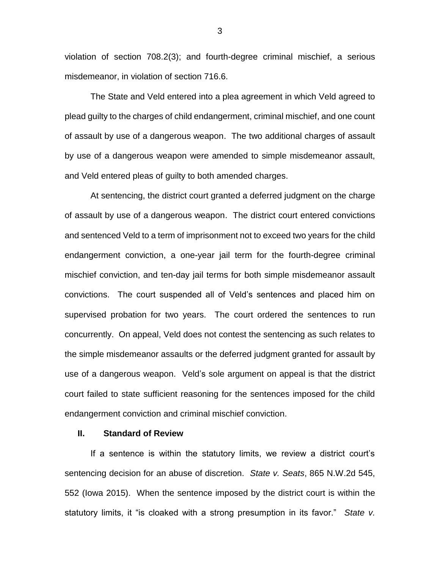violation of section 708.2(3); and fourth-degree criminal mischief, a serious misdemeanor, in violation of section 716.6.

The State and Veld entered into a plea agreement in which Veld agreed to plead guilty to the charges of child endangerment, criminal mischief, and one count of assault by use of a dangerous weapon. The two additional charges of assault by use of a dangerous weapon were amended to simple misdemeanor assault, and Veld entered pleas of guilty to both amended charges.

At sentencing, the district court granted a deferred judgment on the charge of assault by use of a dangerous weapon. The district court entered convictions and sentenced Veld to a term of imprisonment not to exceed two years for the child endangerment conviction, a one-year jail term for the fourth-degree criminal mischief conviction, and ten-day jail terms for both simple misdemeanor assault convictions. The court suspended all of Veld's sentences and placed him on supervised probation for two years. The court ordered the sentences to run concurrently. On appeal, Veld does not contest the sentencing as such relates to the simple misdemeanor assaults or the deferred judgment granted for assault by use of a dangerous weapon. Veld's sole argument on appeal is that the district court failed to state sufficient reasoning for the sentences imposed for the child endangerment conviction and criminal mischief conviction.

#### **II. Standard of Review**

If a sentence is within the statutory limits, we review a district court's sentencing decision for an abuse of discretion. *State v. Seats*, 865 N.W.2d 545, 552 (Iowa 2015). When the sentence imposed by the district court is within the statutory limits, it "is cloaked with a strong presumption in its favor." *State v.* 

3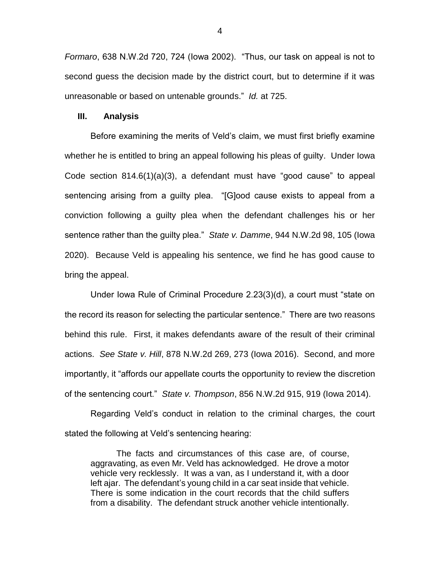*Formaro*, 638 N.W.2d 720, 724 (Iowa 2002). "Thus, our task on appeal is not to second guess the decision made by the district court, but to determine if it was unreasonable or based on untenable grounds." *Id.* at 725.

#### **III. Analysis**

Before examining the merits of Veld's claim, we must first briefly examine whether he is entitled to bring an appeal following his pleas of guilty. Under Iowa Code section 814.6(1)(a)(3), a defendant must have "good cause" to appeal sentencing arising from a guilty plea. "[G]ood cause exists to appeal from a conviction following a guilty plea when the defendant challenges his or her sentence rather than the guilty plea." *State v. Damme*, 944 N.W.2d 98, 105 (Iowa 2020). Because Veld is appealing his sentence, we find he has good cause to bring the appeal.

Under Iowa Rule of Criminal Procedure 2.23(3)(d), a court must "state on the record its reason for selecting the particular sentence." There are two reasons behind this rule. First, it makes defendants aware of the result of their criminal actions. *See State v. Hill*, 878 N.W.2d 269, 273 (Iowa 2016). Second, and more importantly, it "affords our appellate courts the opportunity to review the discretion of the sentencing court." *State v. Thompson*, 856 N.W.2d 915, 919 (Iowa 2014).

Regarding Veld's conduct in relation to the criminal charges, the court stated the following at Veld's sentencing hearing:

The facts and circumstances of this case are, of course, aggravating, as even Mr. Veld has acknowledged. He drove a motor vehicle very recklessly. It was a van, as I understand it, with a door left ajar. The defendant's young child in a car seat inside that vehicle. There is some indication in the court records that the child suffers from a disability. The defendant struck another vehicle intentionally.

4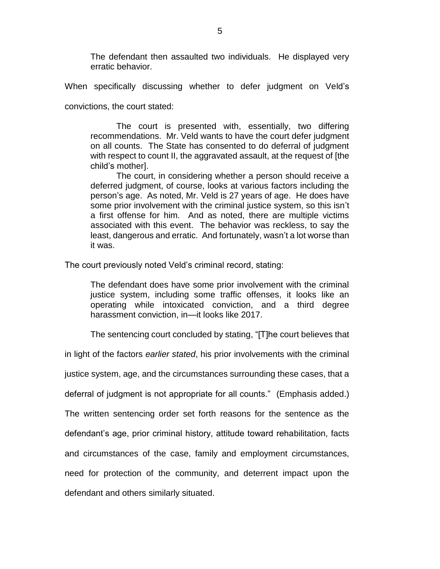The defendant then assaulted two individuals. He displayed very erratic behavior.

When specifically discussing whether to defer judgment on Veld's convictions, the court stated:

The court is presented with, essentially, two differing recommendations. Mr. Veld wants to have the court defer judgment on all counts. The State has consented to do deferral of judgment with respect to count II, the aggravated assault, at the request of [the child's mother].

The court, in considering whether a person should receive a deferred judgment, of course, looks at various factors including the person's age. As noted, Mr. Veld is 27 years of age. He does have some prior involvement with the criminal justice system, so this isn't a first offense for him. And as noted, there are multiple victims associated with this event. The behavior was reckless, to say the least, dangerous and erratic. And fortunately, wasn't a lot worse than it was.

The court previously noted Veld's criminal record, stating:

The defendant does have some prior involvement with the criminal justice system, including some traffic offenses, it looks like an operating while intoxicated conviction, and a third degree harassment conviction, in—it looks like 2017.

The sentencing court concluded by stating, "[T]he court believes that

in light of the factors *earlier stated*, his prior involvements with the criminal

justice system, age, and the circumstances surrounding these cases, that a

deferral of judgment is not appropriate for all counts." (Emphasis added.)

The written sentencing order set forth reasons for the sentence as the

defendant's age, prior criminal history, attitude toward rehabilitation, facts

and circumstances of the case, family and employment circumstances,

need for protection of the community, and deterrent impact upon the

defendant and others similarly situated.